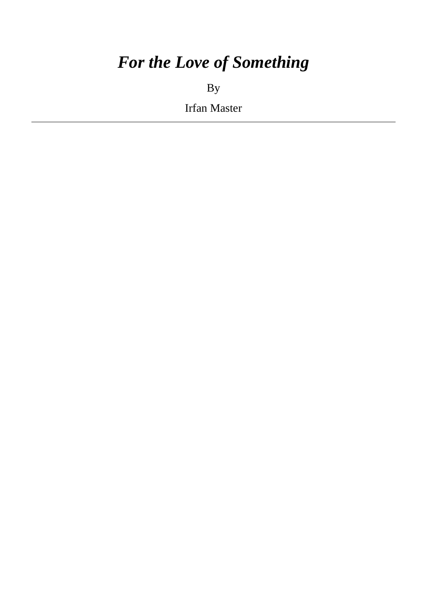# *For the Love of Something*

By

Irfan Master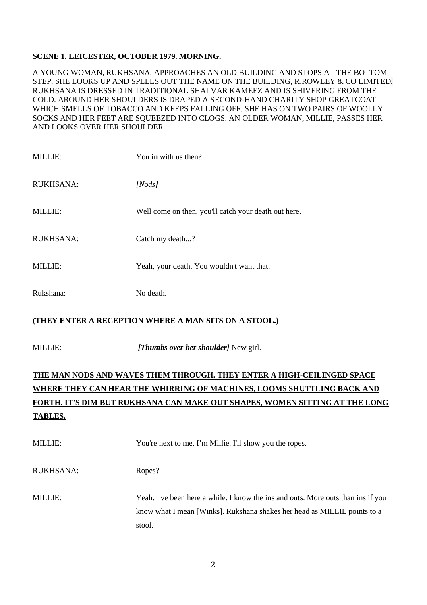#### **SCENE 1. LEICESTER, OCTOBER 1979. MORNING.**

A YOUNG WOMAN, RUKHSANA, APPROACHES AN OLD BUILDING AND STOPS AT THE BOTTOM STEP. SHE LOOKS UP AND SPELLS OUT THE NAME ON THE BUILDING, R.ROWLEY & CO LIMITED*.*  RUKHSANA IS DRESSED IN TRADITIONAL SHALVAR KAMEEZ AND IS SHIVERING FROM THE COLD. AROUND HER SHOULDERS IS DRAPED A SECOND-HAND CHARITY SHOP GREATCOAT WHICH SMELLS OF TOBACCO AND KEEPS FALLING OFF. SHE HAS ON TWO PAIRS OF WOOLLY SOCKS AND HER FEET ARE SQUEEZED INTO CLOGS. AN OLDER WOMAN, MILLIE, PASSES HER AND LOOKS OVER HER SHOULDER.

| <b>MILLIE:</b>   | You in with us then?                                 |
|------------------|------------------------------------------------------|
| <b>RUKHSANA:</b> | [Nodes]                                              |
| <b>MILLIE:</b>   | Well come on then, you'll catch your death out here. |
| <b>RUKHSANA:</b> | Catch my death?                                      |
| <b>MILLIE:</b>   | Yeah, your death. You wouldn't want that.            |
| Rukshana:        | No death.                                            |

#### **(THEY ENTER A RECEPTION WHERE A MAN SITS ON A STOOL.)**

MILLIE: *[Thumbs over her shoulder]* New girl.

# **THE MAN NODS AND WAVES THEM THROUGH. THEY ENTER A HIGH-CEILINGED SPACE WHERE THEY CAN HEAR THE WHIRRING OF MACHINES, LOOMS SHUTTLING BACK AND FORTH. IT'S DIM BUT RUKHSANA CAN MAKE OUT SHAPES, WOMEN SITTING AT THE LONG TABLES.**

| <b>MILLIE:</b> | You're next to me. I'm Millie. I'll show you the ropes.                                                                                                                 |
|----------------|-------------------------------------------------------------------------------------------------------------------------------------------------------------------------|
| RUKHSANA:      | Ropes?                                                                                                                                                                  |
| <b>MILLIE:</b> | Yeah. I've been here a while. I know the instand outs. More outs than inst if you<br>know what I mean [Winks]. Rukshana shakes her head as MILLIE points to a<br>stool. |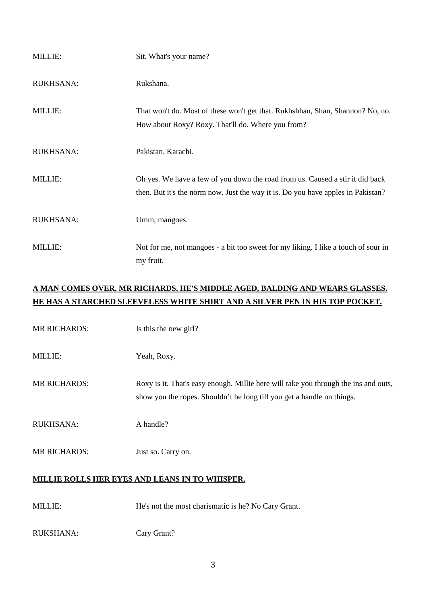| <b>MILLIE:</b>   | Sit. What's your name?                                                                                                                                            |
|------------------|-------------------------------------------------------------------------------------------------------------------------------------------------------------------|
| <b>RUKHSANA:</b> | Rukshana.                                                                                                                                                         |
| <b>MILLIE:</b>   | That won't do. Most of these won't get that. Rukhshhan, Shan, Shannon? No, no.<br>How about Roxy? Roxy. That'll do. Where you from?                               |
| <b>RUKHSANA:</b> | Pakistan. Karachi.                                                                                                                                                |
| <b>MILLIE:</b>   | Oh yes. We have a few of you down the road from us. Caused a stir it did back<br>then. But it's the norm now. Just the way it is. Do you have apples in Pakistan? |
| <b>RUKHSANA:</b> | Umm, mangoes.                                                                                                                                                     |
| <b>MILLIE:</b>   | Not for me, not mangoes - a bit too sweet for my liking. I like a touch of sour in<br>my fruit.                                                                   |

## **A MAN COMES OVER. MR RICHARDS. HE'S MIDDLE AGED, BALDING AND WEARS GLASSES. HE HAS A STARCHED SLEEVELESS WHITE SHIRT AND A SILVER PEN IN HIS TOP POCKET.**

MR RICHARDS: Is this the new girl?

MILLIE: Yeah, Roxy.

MR RICHARDS: Roxy is it. That's easy enough. Millie here will take you through the ins and outs, show you the ropes. Shouldn't be long till you get a handle on things.

- RUKHSANA: A handle?
- MR RICHARDS: Just so. Carry on.

#### **MILLIE ROLLS HER EYES AND LEANS IN TO WHISPER.**

MILLIE: He's not the most charismatic is he? No Cary Grant.

RUKSHANA: Cary Grant?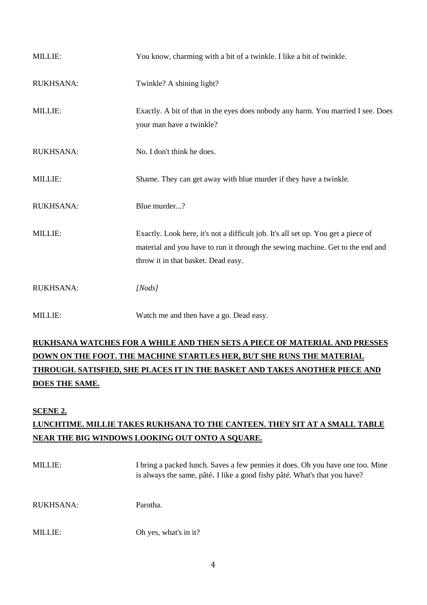| MILLIE:          | You know, charming with a bit of a twinkle. I like a bit of twinkle.                                                                                                                                       |
|------------------|------------------------------------------------------------------------------------------------------------------------------------------------------------------------------------------------------------|
| <b>RUKHSANA:</b> | Twinkle? A shining light?                                                                                                                                                                                  |
| MILLIE:          | Exactly. A bit of that in the eyes does nobody any harm. You married I see. Does<br>your man have a twinkle?                                                                                               |
| <b>RUKHSANA:</b> | No. I don't think he does.                                                                                                                                                                                 |
| MILLIE:          | Shame. They can get away with blue murder if they have a twinkle.                                                                                                                                          |
| <b>RUKHSANA:</b> | Blue murder?                                                                                                                                                                                               |
| MILLIE:          | Exactly. Look here, it's not a difficult job. It's all set up. You get a piece of<br>material and you have to run it through the sewing machine. Get to the end and<br>throw it in that basket. Dead easy. |
| <b>RUKHSANA:</b> | [Nodes]                                                                                                                                                                                                    |
| <b>MILLIE:</b>   | Watch me and then have a go. Dead easy.                                                                                                                                                                    |

# **RUKHSANA WATCHES FOR A WHILE AND THEN SETS A PIECE OF MATERIAL AND PRESSES DOWN ON THE FOOT. THE MACHINE STARTLES HER, BUT SHE RUNS THE MATERIAL THROUGH. SATISFIED, SHE PLACES IT IN THE BASKET AND TAKES ANOTHER PIECE AND DOES THE SAME.**

#### **SCENE 2.**

# **LUNCHTIME. MILLIE TAKES RUKHSANA TO THE CANTEEN. THEY SIT AT A SMALL TABLE NEAR THE BIG WINDOWS LOOKING OUT ONTO A SQUARE.**

| <b>MILLIE:</b> | I bring a packed lunch. Saves a few pennies it does. Oh you have one too. Mine<br>is always the same, pâté. I like a good fishy pâté. What's that you have? |
|----------------|-------------------------------------------------------------------------------------------------------------------------------------------------------------|
| RUKHSANA:      | Parotha.                                                                                                                                                    |
| <b>MILLIE:</b> | Oh yes, what's in it?                                                                                                                                       |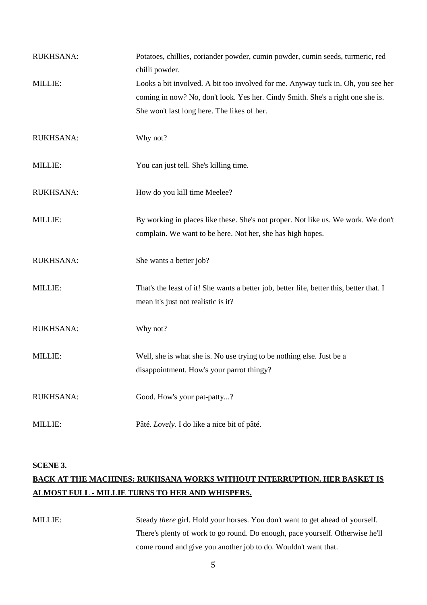| RUKHSANA:        | Potatoes, chillies, coriander powder, cumin powder, cumin seeds, turmeric, red<br>chilli powder.                                                                                                                  |
|------------------|-------------------------------------------------------------------------------------------------------------------------------------------------------------------------------------------------------------------|
| <b>MILLIE:</b>   | Looks a bit involved. A bit too involved for me. Anyway tuck in. Oh, you see her<br>coming in now? No, don't look. Yes her. Cindy Smith. She's a right one she is.<br>She won't last long here. The likes of her. |
| RUKHSANA:        | Why not?                                                                                                                                                                                                          |
| <b>MILLIE:</b>   | You can just tell. She's killing time.                                                                                                                                                                            |
| <b>RUKHSANA:</b> | How do you kill time Meelee?                                                                                                                                                                                      |
| MILLIE:          | By working in places like these. She's not proper. Not like us. We work. We don't<br>complain. We want to be here. Not her, she has high hopes.                                                                   |
| <b>RUKHSANA:</b> | She wants a better job?                                                                                                                                                                                           |
| MILLIE:          | That's the least of it! She wants a better job, better life, better this, better that. I<br>mean it's just not realistic is it?                                                                                   |
| RUKHSANA:        | Why not?                                                                                                                                                                                                          |
| <b>MILLIE:</b>   | Well, she is what she is. No use trying to be nothing else. Just be a<br>disappointment. How's your parrot thingy?                                                                                                |
| RUKHSANA:        | Good. How's your pat-patty?                                                                                                                                                                                       |
| MILLIE:          | Pâté. Lovely. I do like a nice bit of pâté.                                                                                                                                                                       |

#### **SCENE 3.**

## **BACK AT THE MACHINES: RUKHSANA WORKS WITHOUT INTERRUPTION. HER BASKET IS ALMOST FULL - MILLIE TURNS TO HER AND WHISPERS.**

MILLIE: Steady *there* girl. Hold your horses. You don't want to get ahead of yourself. There's plenty of work to go round. Do enough, pace yourself. Otherwise he'll come round and give you another job to do. Wouldn't want that.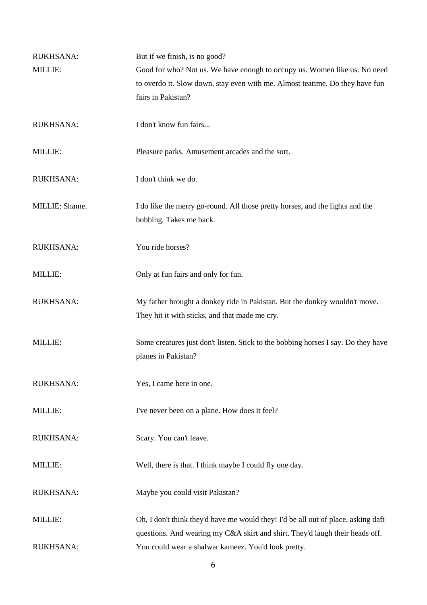| <b>RUKHSANA:</b> | But if we finish, is no good?                                                     |
|------------------|-----------------------------------------------------------------------------------|
| MILLIE:          | Good for who? Not us. We have enough to occupy us. Women like us. No need         |
|                  | to overdo it. Slow down, stay even with me. Almost teatime. Do they have fun      |
|                  | fairs in Pakistan?                                                                |
|                  |                                                                                   |
| <b>RUKHSANA:</b> | I don't know fun fairs                                                            |
|                  |                                                                                   |
| MILLIE:          | Pleasure parks. Amusement arcades and the sort.                                   |
|                  |                                                                                   |
| <b>RUKHSANA:</b> | I don't think we do.                                                              |
|                  |                                                                                   |
| MILLIE: Shame.   | I do like the merry go-round. All those pretty horses, and the lights and the     |
|                  | bobbing. Takes me back.                                                           |
|                  |                                                                                   |
| <b>RUKHSANA:</b> | You ride horses?                                                                  |
|                  |                                                                                   |
| <b>MILLIE:</b>   | Only at fun fairs and only for fun.                                               |
|                  |                                                                                   |
| <b>RUKHSANA:</b> | My father brought a donkey ride in Pakistan. But the donkey wouldn't move.        |
|                  | They hit it with sticks, and that made me cry.                                    |
|                  |                                                                                   |
| MILLIE:          | Some creatures just don't listen. Stick to the bobbing horses I say. Do they have |
|                  | planes in Pakistan?                                                               |
|                  |                                                                                   |
| <b>RUKHSANA:</b> | Yes, I came here in one.                                                          |
|                  |                                                                                   |
| <b>MILLIE:</b>   | I've never been on a plane. How does it feel?                                     |
|                  |                                                                                   |
| RUKHSANA:        | Scary. You can't leave.                                                           |
|                  |                                                                                   |
| <b>MILLIE:</b>   | Well, there is that. I think maybe I could fly one day.                           |
|                  |                                                                                   |
| RUKHSANA:        | Maybe you could visit Pakistan?                                                   |
|                  |                                                                                   |
| <b>MILLIE:</b>   | Oh, I don't think they'd have me would they! I'd be all out of place, asking daft |
|                  | questions. And wearing my C&A skirt and shirt. They'd laugh their heads off.      |
| RUKHSANA:        | You could wear a shalwar kameez. You'd look pretty.                               |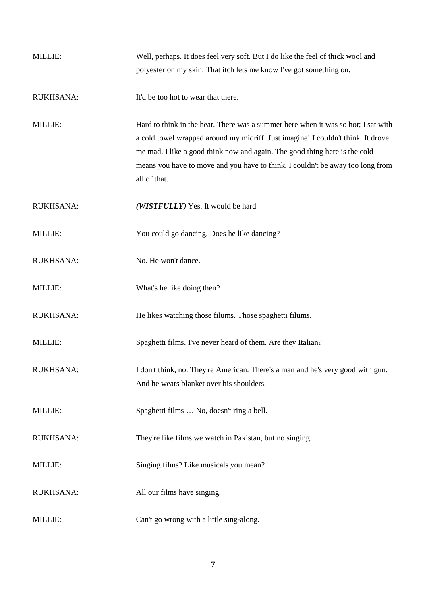| <b>MILLIE:</b>   | Well, perhaps. It does feel very soft. But I do like the feel of thick wool and   |
|------------------|-----------------------------------------------------------------------------------|
|                  | polyester on my skin. That itch lets me know I've got something on.               |
|                  |                                                                                   |
| <b>RUKHSANA:</b> | It'd be too hot to wear that there.                                               |
|                  |                                                                                   |
| MILLIE:          | Hard to think in the heat. There was a summer here when it was so hot; I sat with |
|                  | a cold towel wrapped around my midriff. Just imagine! I couldn't think. It drove  |
|                  | me mad. I like a good think now and again. The good thing here is the cold        |
|                  | means you have to move and you have to think. I couldn't be away too long from    |
|                  | all of that.                                                                      |
|                  |                                                                                   |
| <b>RUKHSANA:</b> | (WISTFULLY) Yes. It would be hard                                                 |
|                  |                                                                                   |
| MILLIE:          | You could go dancing. Does he like dancing?                                       |
|                  |                                                                                   |
| <b>RUKHSANA:</b> | No. He won't dance.                                                               |
|                  |                                                                                   |
| <b>MILLIE:</b>   | What's he like doing then?                                                        |
|                  |                                                                                   |
| RUKHSANA:        | He likes watching those filums. Those spaghetti filums.                           |
|                  |                                                                                   |
| MILLIE:          | Spaghetti films. I've never heard of them. Are they Italian?                      |
|                  |                                                                                   |
| <b>RUKHSANA:</b> | I don't think, no. They're American. There's a man and he's very good with gun.   |
|                  | And he wears blanket over his shoulders.                                          |
|                  |                                                                                   |
| MILLIE:          | Spaghetti films  No, doesn't ring a bell.                                         |
|                  |                                                                                   |
| <b>RUKHSANA:</b> | They're like films we watch in Pakistan, but no singing.                          |
|                  |                                                                                   |
| <b>MILLIE:</b>   | Singing films? Like musicals you mean?                                            |
|                  |                                                                                   |
| <b>RUKHSANA:</b> | All our films have singing.                                                       |
|                  |                                                                                   |
| <b>MILLIE:</b>   | Can't go wrong with a little sing-along.                                          |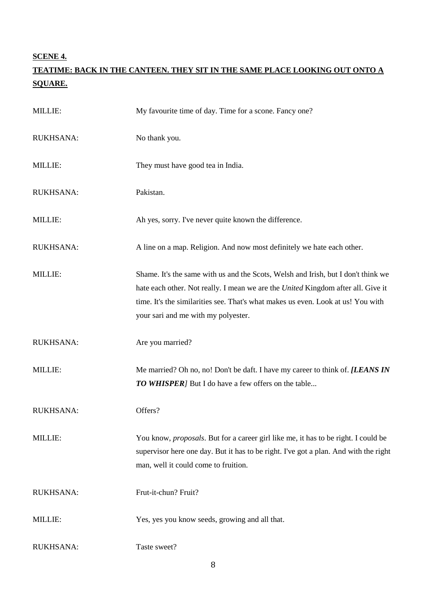## **SCENE 4.**

## **TEATIME: BACK IN THE CANTEEN. THEY SIT IN THE SAME PLACE LOOKING OUT ONTO A SQUARE.**

| MILLIE:          | My favourite time of day. Time for a scone. Fancy one?                                                                                                                                                                                                                                                  |
|------------------|---------------------------------------------------------------------------------------------------------------------------------------------------------------------------------------------------------------------------------------------------------------------------------------------------------|
| RUKHSANA:        | No thank you.                                                                                                                                                                                                                                                                                           |
| <b>MILLIE:</b>   | They must have good tea in India.                                                                                                                                                                                                                                                                       |
| <b>RUKHSANA:</b> | Pakistan.                                                                                                                                                                                                                                                                                               |
| MILLIE:          | Ah yes, sorry. I've never quite known the difference.                                                                                                                                                                                                                                                   |
| RUKHSANA:        | A line on a map. Religion. And now most definitely we hate each other.                                                                                                                                                                                                                                  |
| <b>MILLIE:</b>   | Shame. It's the same with us and the Scots, Welsh and Irish, but I don't think we<br>hate each other. Not really. I mean we are the <i>United</i> Kingdom after all. Give it<br>time. It's the similarities see. That's what makes us even. Look at us! You with<br>your sari and me with my polyester. |
| <b>RUKHSANA:</b> | Are you married?                                                                                                                                                                                                                                                                                        |
| MILLIE:          | Me married? Oh no, no! Don't be daft. I have my career to think of. [LEANS IN<br><b>TO WHISPER</b> ] But I do have a few offers on the table                                                                                                                                                            |
| <b>RUKHSANA:</b> | Offers?                                                                                                                                                                                                                                                                                                 |
| MILLIE:          | You know, <i>proposals</i> . But for a career girl like me, it has to be right. I could be<br>supervisor here one day. But it has to be right. I've got a plan. And with the right<br>man, well it could come to fruition.                                                                              |
| RUKHSANA:        | Frut-it-chun? Fruit?                                                                                                                                                                                                                                                                                    |
| MILLIE:          | Yes, yes you know seeds, growing and all that.                                                                                                                                                                                                                                                          |
| RUKHSANA:        | Taste sweet?                                                                                                                                                                                                                                                                                            |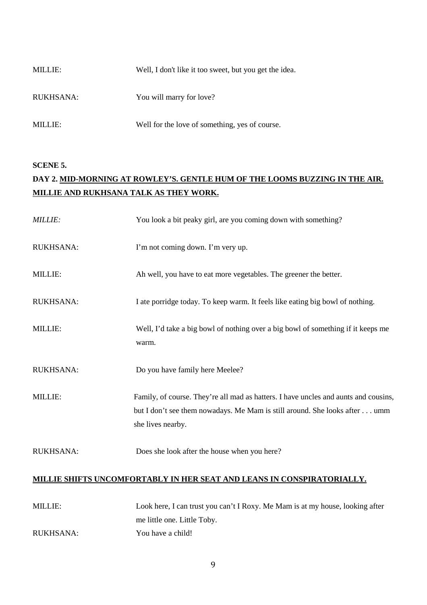| <b>MILLIE:</b> | Well, I don't like it too sweet, but you get the idea. |
|----------------|--------------------------------------------------------|
| RUKHSANA:      | You will marry for love?                               |
| MILLIE:        | Well for the love of something, yes of course.         |

#### **SCENE 5.**

# **DAY 2. MID-MORNING AT ROWLEY'S. GENTLE HUM OF THE LOOMS BUZZING IN THE AIR. MILLIE AND RUKHSANA TALK AS THEY WORK.**

| <b>MILLIE:</b>                                                                 | You look a bit peaky girl, are you coming down with something?                                                                                                                         |
|--------------------------------------------------------------------------------|----------------------------------------------------------------------------------------------------------------------------------------------------------------------------------------|
| <b>RUKHSANA:</b>                                                               | I'm not coming down. I'm very up.                                                                                                                                                      |
| MILLIE:                                                                        | Ah well, you have to eat more vegetables. The greener the better.                                                                                                                      |
| RUKHSANA:                                                                      | I ate porridge today. To keep warm. It feels like eating big bowl of nothing.                                                                                                          |
| MILLIE:                                                                        | Well, I'd take a big bowl of nothing over a big bowl of something if it keeps me<br>warm.                                                                                              |
| RUKHSANA:                                                                      | Do you have family here Meelee?                                                                                                                                                        |
| MILLIE:                                                                        | Family, of course. They're all mad as hatters. I have uncles and aunts and cousins,<br>but I don't see them nowadays. Me Mam is still around. She looks after umm<br>she lives nearby. |
| <b>RUKHSANA:</b>                                                               | Does she look after the house when you here?                                                                                                                                           |
| MILLIE SHIFT <u>S UNCOMFORTABLY IN HER SEAT AND LEANS IN CONSPIRATORIALLY.</u> |                                                                                                                                                                                        |
| MILLIE:                                                                        | Look here, I can trust you can't I Roxy. Me Mam is at my house, looking after<br>me little one. Little Toby.                                                                           |
| <b>RUKHSANA:</b>                                                               | You have a child!                                                                                                                                                                      |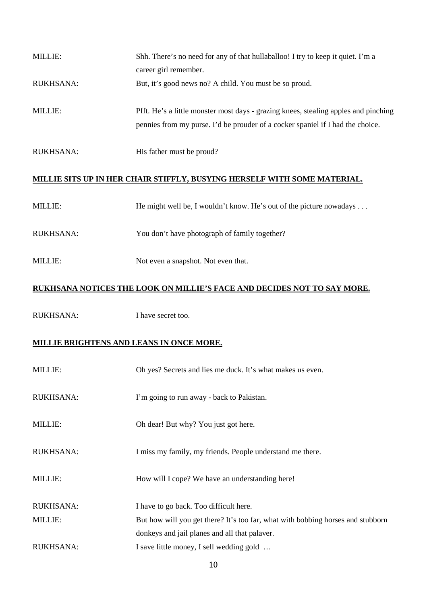| <b>MILLIE:</b>   | Shh. There's no need for any of that hullaballoo! I try to keep it quiet. I'm a     |
|------------------|-------------------------------------------------------------------------------------|
|                  | career girl remember.                                                               |
| <b>RUKHSANA:</b> | But, it's good news no? A child. You must be so proud.                              |
|                  |                                                                                     |
| <b>MILLIE:</b>   | Pfft. He's a little monster most days - grazing knees, stealing apples and pinching |
|                  | pennies from my purse. I'd be prouder of a cocker spaniel if I had the choice.      |
|                  |                                                                                     |
| <b>RUKHSANA:</b> | His father must be proud?                                                           |

## **MILLIE SITS UP IN HER CHAIR STIFFLY, BUSYING HERSELF WITH SOME MATERIAL.**

| <b>MILLIE:</b> | He might well be, I wouldn't know. He's out of the picture nowadays $\dots$ |
|----------------|-----------------------------------------------------------------------------|
| RUKHSANA:      | You don't have photograph of family together?                               |
| MILLIE:        | Not even a snapshot. Not even that.                                         |

## **RUKHSANA NOTICES THE LOOK ON MILLIE'S FACE AND DECIDES NOT TO SAY MORE.**

RUKHSANA: I have secret too.

### **MILLIE BRIGHTENS AND LEANS IN ONCE MORE.**

| <b>MILLIE:</b>   | Oh yes? Secrets and lies me duck. It's what makes us even.                      |
|------------------|---------------------------------------------------------------------------------|
| <b>RUKHSANA:</b> | I'm going to run away - back to Pakistan.                                       |
| <b>MILLIE:</b>   | Oh dear! But why? You just got here.                                            |
| <b>RUKHSANA:</b> | I miss my family, my friends. People understand me there.                       |
| <b>MILLIE:</b>   | How will I cope? We have an understanding here!                                 |
| <b>RUKHSANA:</b> | I have to go back. Too difficult here.                                          |
| <b>MILLIE:</b>   | But how will you get there? It's too far, what with bobbing horses and stubborn |
|                  | donkeys and jail planes and all that palaver.                                   |
| <b>RUKHSANA:</b> | I save little money, I sell wedding gold                                        |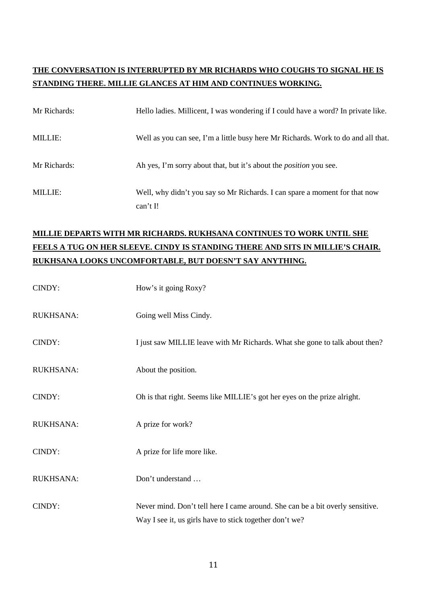## **THE CONVERSATION IS INTERRUPTED BY MR RICHARDS WHO COUGHS TO SIGNAL HE IS STANDING THERE. MILLIE GLANCES AT HIM AND CONTINUES WORKING.**

| Mr Richards:   | Hello ladies. Millicent, I was wondering if I could have a word? In private like.      |
|----------------|----------------------------------------------------------------------------------------|
| <b>MILLIE:</b> | Well as you can see, I'm a little busy here Mr Richards. Work to do and all that.      |
| Mr Richards:   | Ah yes, I'm sorry about that, but it's about the <i>position</i> you see.              |
| <b>MILLIE:</b> | Well, why didn't you say so Mr Richards. I can spare a moment for that now<br>can't I! |

# **MILLIE DEPARTS WITH MR RICHARDS. RUKHSANA CONTINUES TO WORK UNTIL SHE FEELS A TUG ON HER SLEEVE. CINDY IS STANDING THERE AND SITS IN MILLIE'S CHAIR. RUKHSANA LOOKS UNCOMFORTABLE, BUT DOESN'T SAY ANYTHING.**

| CINDY:           | How's it going Roxy?                                                                                                                     |
|------------------|------------------------------------------------------------------------------------------------------------------------------------------|
| <b>RUKHSANA:</b> | Going well Miss Cindy.                                                                                                                   |
| CINDY:           | I just saw MILLIE leave with Mr Richards. What she gone to talk about then?                                                              |
| RUKHSANA:        | About the position.                                                                                                                      |
| CINDY:           | Oh is that right. Seems like MILLIE's got her eyes on the prize alright.                                                                 |
| <b>RUKHSANA:</b> | A prize for work?                                                                                                                        |
| CINDY:           | A prize for life more like.                                                                                                              |
| <b>RUKHSANA:</b> | Don't understand                                                                                                                         |
| CINDY:           | Never mind. Don't tell here I came around. She can be a bit overly sensitive.<br>Way I see it, us girls have to stick together don't we? |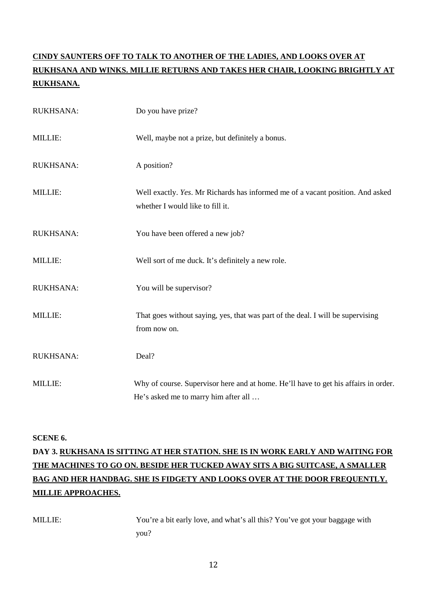# **CINDY SAUNTERS OFF TO TALK TO ANOTHER OF THE LADIES, AND LOOKS OVER AT RUKHSANA AND WINKS. MILLIE RETURNS AND TAKES HER CHAIR, LOOKING BRIGHTLY AT RUKHSANA.**

| RUKHSANA: | Do you have prize?                                                                                                          |
|-----------|-----------------------------------------------------------------------------------------------------------------------------|
| MILLIE:   | Well, maybe not a prize, but definitely a bonus.                                                                            |
| RUKHSANA: | A position?                                                                                                                 |
| MILLIE:   | Well exactly. Yes. Mr Richards has informed me of a vacant position. And asked<br>whether I would like to fill it.          |
| RUKHSANA: | You have been offered a new job?                                                                                            |
| MILLIE:   | Well sort of me duck. It's definitely a new role.                                                                           |
| RUKHSANA: | You will be supervisor?                                                                                                     |
| MILLIE:   | That goes without saying, yes, that was part of the deal. I will be supervising<br>from now on.                             |
| RUKHSANA: | Deal?                                                                                                                       |
| MILLIE:   | Why of course. Supervisor here and at home. He'll have to get his affairs in order.<br>He's asked me to marry him after all |

#### **SCENE 6.**

# **DAY 3. RUKHSANA IS SITTING AT HER STATION. SHE IS IN WORK EARLY AND WAITING FOR THE MACHINES TO GO ON. BESIDE HER TUCKED AWAY SITS A BIG SUITCASE, A SMALLER BAG AND HER HANDBAG. SHE IS FIDGETY AND LOOKS OVER AT THE DOOR FREQUENTLY. MILLIE APPROACHES.**

MILLIE: You're a bit early love, and what's all this? You've got your baggage with you?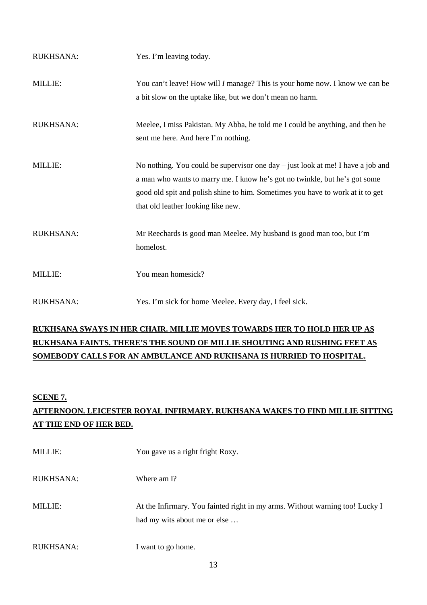| <b>RUKHSANA:</b> | Yes. I'm leaving today.                                                                                                                                                                                                                                                                 |
|------------------|-----------------------------------------------------------------------------------------------------------------------------------------------------------------------------------------------------------------------------------------------------------------------------------------|
| MILLIE:          | You can't leave! How will <i>I</i> manage? This is your home now. I know we can be<br>a bit slow on the uptake like, but we don't mean no harm.                                                                                                                                         |
| <b>RUKHSANA:</b> | Meelee, I miss Pakistan. My Abba, he told me I could be anything, and then he<br>sent me here. And here I'm nothing.                                                                                                                                                                    |
| <b>MILLIE:</b>   | No nothing. You could be supervisor one day $-$ just look at me! I have a job and<br>a man who wants to marry me. I know he's got no twinkle, but he's got some<br>good old spit and polish shine to him. Sometimes you have to work at it to get<br>that old leather looking like new. |
| <b>RUKHSANA:</b> | Mr Reechards is good man Meelee. My husband is good man too, but I'm<br>homelost.                                                                                                                                                                                                       |
| <b>MILLIE:</b>   | You mean homesick?                                                                                                                                                                                                                                                                      |
| <b>RUKHSANA:</b> | Yes. I'm sick for home Meelee. Every day, I feel sick.                                                                                                                                                                                                                                  |

## **RUKHSANA SWAYS IN HER CHAIR. MILLIE MOVES TOWARDS HER TO HOLD HER UP AS RUKHSANA FAINTS. THERE'S THE SOUND OF MILLIE SHOUTING AND RUSHING FEET AS SOMEBODY CALLS FOR AN AMBULANCE AND RUKHSANA IS HURRIED TO HOSPITAL.**

#### **SCENE 7.**

# **AFTERNOON. LEICESTER ROYAL INFIRMARY. RUKHSANA WAKES TO FIND MILLIE SITTING AT THE END OF HER BED.**

| <b>MILLIE:</b>   | You gave us a right fright Roxy.                                                                             |
|------------------|--------------------------------------------------------------------------------------------------------------|
| <b>RUKHSANA:</b> | Where am I?                                                                                                  |
| <b>MILLIE:</b>   | At the Infirmary. You fainted right in my arms. Without warning too! Lucky I<br>had my wits about me or else |
| <b>RUKHSANA:</b> | I want to go home.                                                                                           |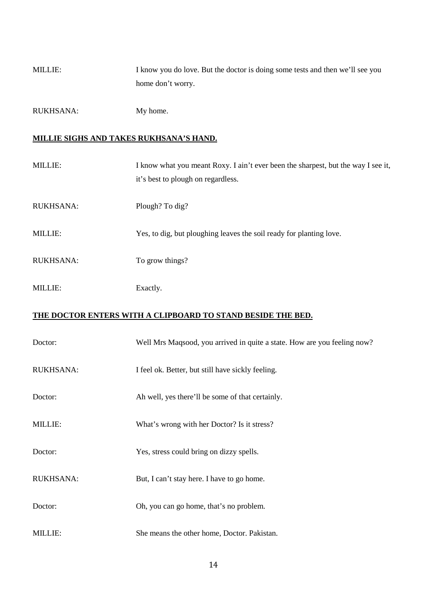MILLIE: I know you do love. But the doctor is doing some tests and then we'll see you home don't worry.

RUKHSANA: My home.

## **MILLIE SIGHS AND TAKES RUKHSANA'S HAND.**

| <b>MILLIE:</b>   | I know what you meant Roxy. I ain't ever been the sharpest, but the way I see it,<br>it's best to plough on regardless. |
|------------------|-------------------------------------------------------------------------------------------------------------------------|
| <b>RUKHSANA:</b> | Plough? To dig?                                                                                                         |
| <b>MILLIE:</b>   | Yes, to dig, but ploughing leaves the soil ready for planting love.                                                     |
| <b>RUKHSANA:</b> | To grow things?                                                                                                         |
| <b>MILLIE:</b>   | Exactly.                                                                                                                |

## **THE DOCTOR ENTERS WITH A CLIPBOARD TO STAND BESIDE THE BED.**

| Doctor:          | Well Mrs Maqsood, you arrived in quite a state. How are you feeling now? |
|------------------|--------------------------------------------------------------------------|
| <b>RUKHSANA:</b> | I feel ok. Better, but still have sickly feeling.                        |
| Doctor:          | Ah well, yes there'll be some of that certainly.                         |
| <b>MILLIE:</b>   | What's wrong with her Doctor? Is it stress?                              |
| Doctor:          | Yes, stress could bring on dizzy spells.                                 |
| <b>RUKHSANA:</b> | But, I can't stay here. I have to go home.                               |
| Doctor:          | Oh, you can go home, that's no problem.                                  |
| <b>MILLIE:</b>   | She means the other home, Doctor. Pakistan.                              |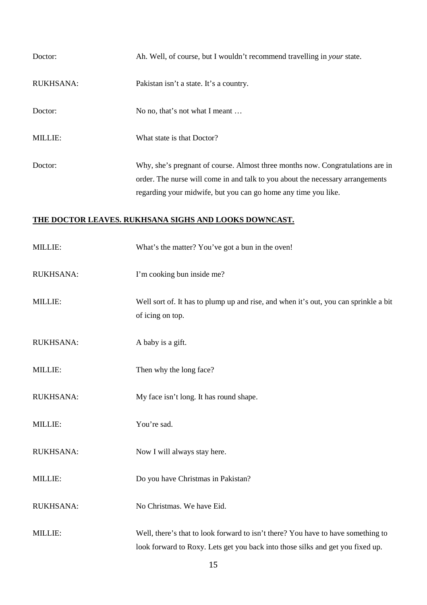| Doctor:          | Ah. Well, of course, but I wouldn't recommend travelling in your state.                                                                                                                                                            |
|------------------|------------------------------------------------------------------------------------------------------------------------------------------------------------------------------------------------------------------------------------|
| <b>RUKHSANA:</b> | Pakistan isn't a state. It's a country.                                                                                                                                                                                            |
| Doctor:          | No no, that's not what I meant                                                                                                                                                                                                     |
| <b>MILLIE:</b>   | What state is that Doctor?                                                                                                                                                                                                         |
| Doctor:          | Why, she's pregnant of course. Almost three months now. Congratulations are in<br>order. The nurse will come in and talk to you about the necessary arrangements<br>regarding your midwife, but you can go home any time you like. |

## **THE DOCTOR LEAVES. RUKHSANA SIGHS AND LOOKS DOWNCAST.**

| MILLIE:          | What's the matter? You've got a bun in the oven!                                                                                                                   |
|------------------|--------------------------------------------------------------------------------------------------------------------------------------------------------------------|
| RUKHSANA:        | I'm cooking bun inside me?                                                                                                                                         |
| MILLIE:          | Well sort of. It has to plump up and rise, and when it's out, you can sprinkle a bit<br>of icing on top.                                                           |
| RUKHSANA:        | A baby is a gift.                                                                                                                                                  |
| MILLIE:          | Then why the long face?                                                                                                                                            |
| <b>RUKHSANA:</b> | My face isn't long. It has round shape.                                                                                                                            |
| MILLIE:          | You're sad.                                                                                                                                                        |
| RUKHSANA:        | Now I will always stay here.                                                                                                                                       |
| MILLIE:          | Do you have Christmas in Pakistan?                                                                                                                                 |
| RUKHSANA:        | No Christmas. We have Eid.                                                                                                                                         |
| MILLIE:          | Well, there's that to look forward to isn't there? You have to have something to<br>look forward to Roxy. Lets get you back into those silks and get you fixed up. |